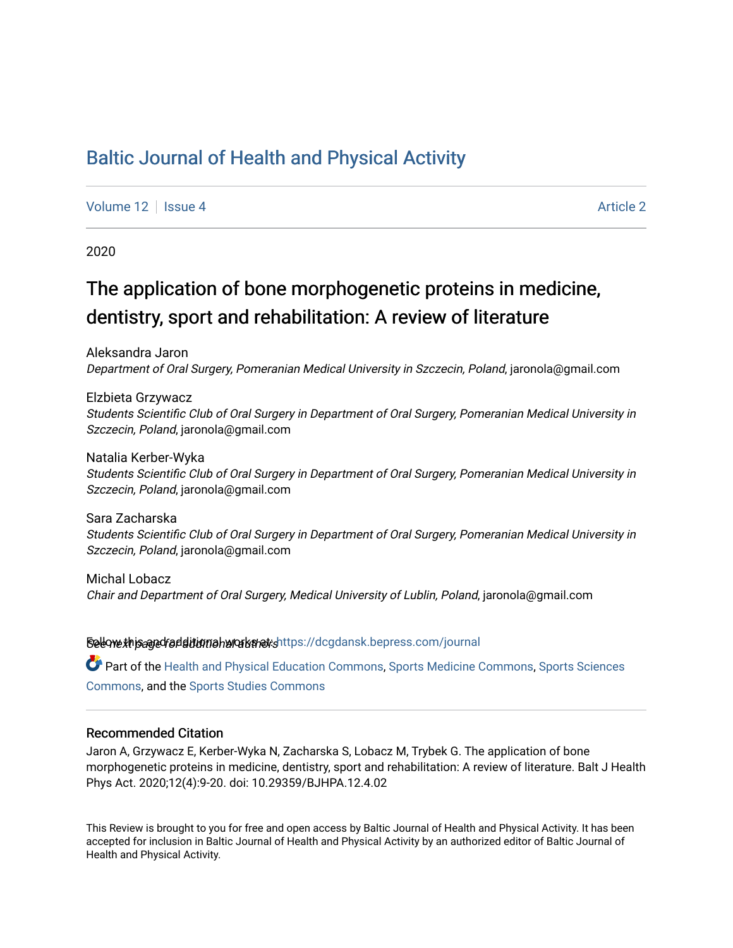## [Baltic Journal of Health and Physical Activity](https://dcgdansk.bepress.com/journal)

[Volume 12](https://dcgdansk.bepress.com/journal/vol12) Setus 4 [Article 2](https://dcgdansk.bepress.com/journal/vol12/iss4/2) Article 2 Article 2 Article 2 Article 2 Article 2

2020

# The application of bone morphogenetic proteins in medicine, dentistry, sport and rehabilitation: A review of literature

Aleksandra Jaron Department of Oral Surgery, Pomeranian Medical University in Szczecin, Poland, jaronola@gmail.com

Elzbieta Grzywacz Students Scientific Club of Oral Surgery in Department of Oral Surgery, Pomeranian Medical University in Szczecin, Poland, jaronola@gmail.com

Natalia Kerber-Wyka Students Scientific Club of Oral Surgery in Department of Oral Surgery, Pomeranian Medical University in Szczecin, Poland, jaronola@gmail.com

Sara Zacharska Students Scientific Club of Oral Surgery in Department of Oral Surgery, Pomeranian Medical University in Szczecin, Poland, jaronola@gmail.com

Michal Lobacz Chair and Department of Oral Surgery, Medical University of Lublin, Poland, jaronola@gmail.com

Sellow this ane diditional authors Follow this Follow this and additional sellow this and additional sellow that

Part of the [Health and Physical Education Commons](http://network.bepress.com/hgg/discipline/1327?utm_source=dcgdansk.bepress.com%2Fjournal%2Fvol12%2Fiss4%2F2&utm_medium=PDF&utm_campaign=PDFCoverPages), [Sports Medicine Commons,](http://network.bepress.com/hgg/discipline/1331?utm_source=dcgdansk.bepress.com%2Fjournal%2Fvol12%2Fiss4%2F2&utm_medium=PDF&utm_campaign=PDFCoverPages) [Sports Sciences](http://network.bepress.com/hgg/discipline/759?utm_source=dcgdansk.bepress.com%2Fjournal%2Fvol12%2Fiss4%2F2&utm_medium=PDF&utm_campaign=PDFCoverPages) [Commons](http://network.bepress.com/hgg/discipline/759?utm_source=dcgdansk.bepress.com%2Fjournal%2Fvol12%2Fiss4%2F2&utm_medium=PDF&utm_campaign=PDFCoverPages), and the [Sports Studies Commons](http://network.bepress.com/hgg/discipline/1198?utm_source=dcgdansk.bepress.com%2Fjournal%2Fvol12%2Fiss4%2F2&utm_medium=PDF&utm_campaign=PDFCoverPages) 

#### Recommended Citation

Jaron A, Grzywacz E, Kerber-Wyka N, Zacharska S, Lobacz M, Trybek G. The application of bone morphogenetic proteins in medicine, dentistry, sport and rehabilitation: A review of literature. Balt J Health Phys Act. 2020;12(4):9-20. doi: 10.29359/BJHPA.12.4.02

This Review is brought to you for free and open access by Baltic Journal of Health and Physical Activity. It has been accepted for inclusion in Baltic Journal of Health and Physical Activity by an authorized editor of Baltic Journal of Health and Physical Activity.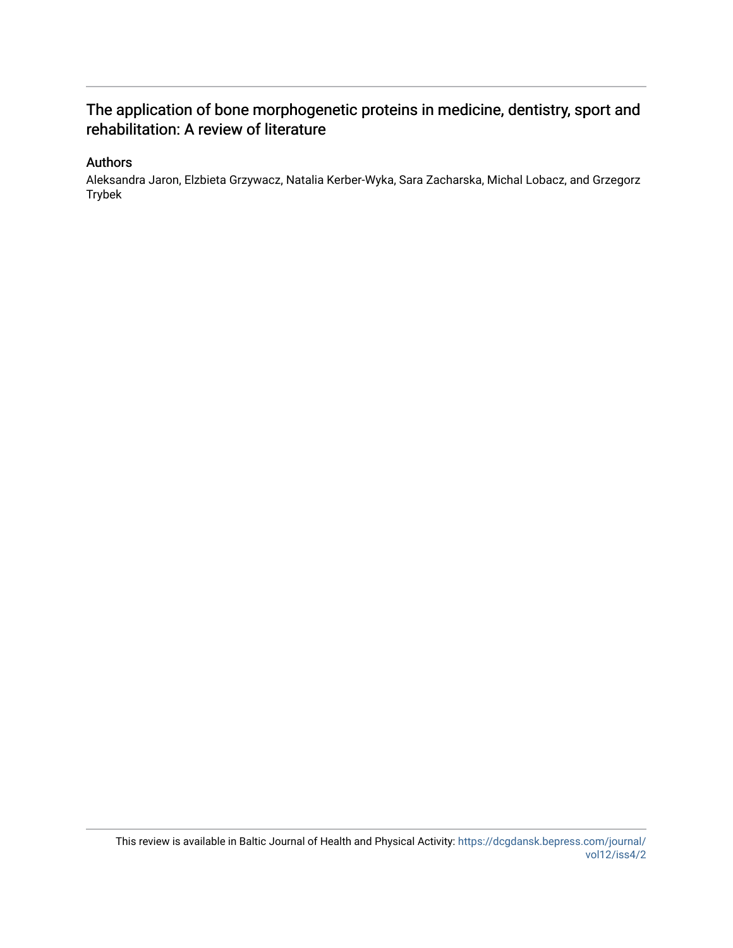## The application of bone morphogenetic proteins in medicine, dentistry, sport and rehabilitation: A review of literature

### Authors

Aleksandra Jaron, Elzbieta Grzywacz, Natalia Kerber-Wyka, Sara Zacharska, Michal Lobacz, and Grzegorz Trybek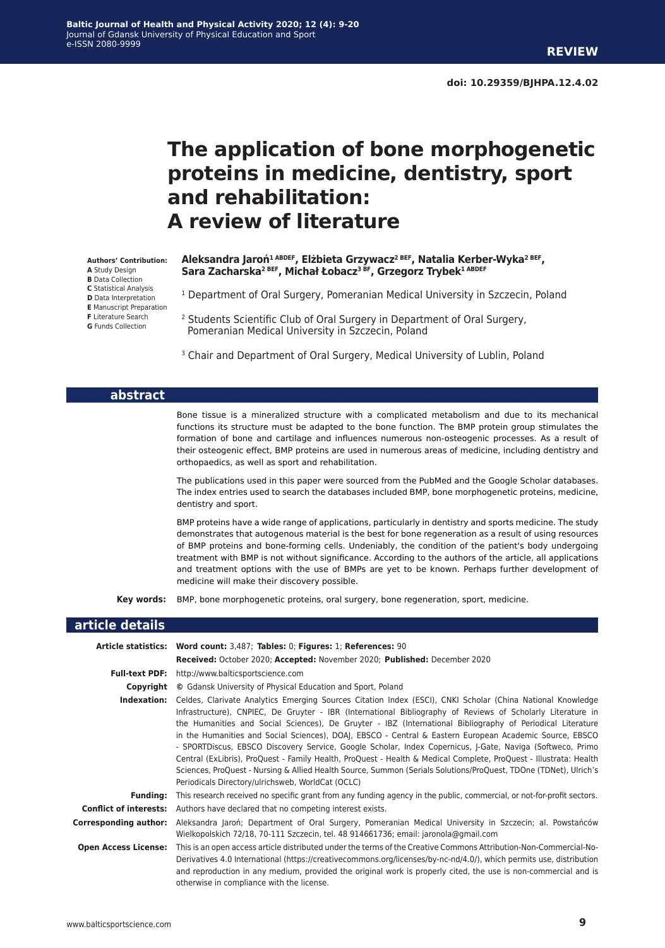# **The application of bone morphogenetic proteins in medicine, dentistry, sport and rehabilitation: A review of literature**

#### **Authors' Contribution:**

- **A** Study Design
- **B** Data Collection **C** Statistical Analysis
- 
- **D** Data Interpretation **E** Manuscript Preparation
- **F** Literature Search
- **G** Funds Collection

#### **Aleksandra Jaroń1 ABDEF, Elżbieta Grzywacz2 BEF, Natalia Kerber-Wyka2 BEF, Sara Zacharska2 BEF, Michał Łobacz3 BF, Grzegorz Trybek1 ABDEF**

- <sup>1</sup> Department of Oral Surgery, Pomeranian Medical University in Szczecin, Poland
- <sup>2</sup> Students Scientific Club of Oral Surgery in Department of Oral Surgery, Pomeranian Medical University in Szczecin, Poland
- <sup>3</sup> Chair and Department of Oral Surgery, Medical University of Lublin, Poland

#### **abstract**

Bone tissue is a mineralized structure with a complicated metabolism and due to its mechanical functions its structure must be adapted to the bone function. The BMP protein group stimulates the formation of bone and cartilage and influences numerous non-osteogenic processes. As a result of their osteogenic effect, BMP proteins are used in numerous areas of medicine, including dentistry and orthopaedics, as well as sport and rehabilitation.

The publications used in this paper were sourced from the PubMed and the Google Scholar databases. The index entries used to search the databases included BMP, bone morphogenetic proteins, medicine, dentistry and sport.

BMP proteins have a wide range of applications, particularly in dentistry and sports medicine. The study demonstrates that autogenous material is the best for bone regeneration as a result of using resources of BMP proteins and bone-forming cells. Undeniably, the condition of the patient's body undergoing treatment with BMP is not without significance. According to the authors of the article, all applications and treatment options with the use of BMPs are yet to be known. Perhaps further development of medicine will make their discovery possible.

**Key words:** BMP, bone morphogenetic proteins, oral surgery, bone regeneration, sport, medicine.

#### **article details**

|                              | Article statistics: Word count: 3,487; Tables: 0; Figures: 1; References: 90                                                                                                                                                                                                                                                                                                                                                                                                                                                                                                                                                                                                                                                                                                                                                                                  |
|------------------------------|---------------------------------------------------------------------------------------------------------------------------------------------------------------------------------------------------------------------------------------------------------------------------------------------------------------------------------------------------------------------------------------------------------------------------------------------------------------------------------------------------------------------------------------------------------------------------------------------------------------------------------------------------------------------------------------------------------------------------------------------------------------------------------------------------------------------------------------------------------------|
|                              | Received: October 2020; Accepted: November 2020; Published: December 2020                                                                                                                                                                                                                                                                                                                                                                                                                                                                                                                                                                                                                                                                                                                                                                                     |
| <b>Full-text PDF:</b>        | http://www.balticsportscience.com                                                                                                                                                                                                                                                                                                                                                                                                                                                                                                                                                                                                                                                                                                                                                                                                                             |
| Copyright                    | © Gdansk University of Physical Education and Sport, Poland                                                                                                                                                                                                                                                                                                                                                                                                                                                                                                                                                                                                                                                                                                                                                                                                   |
| Indexation:                  | Celdes, Clarivate Analytics Emerging Sources Citation Index (ESCI), CNKI Scholar (China National Knowledge<br>Infrastructure), CNPIEC, De Gruyter - IBR (International Bibliography of Reviews of Scholarly Literature in<br>the Humanities and Social Sciences), De Gruyter - IBZ (International Bibliography of Periodical Literature<br>in the Humanities and Social Sciences), DOAJ, EBSCO - Central & Eastern European Academic Source, EBSCO<br>- SPORTDiscus, EBSCO Discovery Service, Google Scholar, Index Copernicus, J-Gate, Naviga (Softweco, Primo<br>Central (ExLibris), ProQuest - Family Health, ProQuest - Health & Medical Complete, ProQuest - Illustrata: Health<br>Sciences, ProQuest - Nursing & Allied Health Source, Summon (Serials Solutions/ProQuest, TDOne (TDNet), Ulrich's<br>Periodicals Directory/ulrichsweb, WorldCat (OCLC) |
| <b>Funding:</b>              | This research received no specific grant from any funding agency in the public, commercial, or not-for-profit sectors.                                                                                                                                                                                                                                                                                                                                                                                                                                                                                                                                                                                                                                                                                                                                        |
|                              | <b>Conflict of interests:</b> Authors have declared that no competing interest exists.                                                                                                                                                                                                                                                                                                                                                                                                                                                                                                                                                                                                                                                                                                                                                                        |
| <b>Corresponding author:</b> | Aleksandra Jaroń; Department of Oral Surgery, Pomeranian Medical University in Szczecin; al. Powstańców<br>Wielkopolskich 72/18, 70-111 Szczecin, tel. 48 914661736; email: jaronola@gmail.com                                                                                                                                                                                                                                                                                                                                                                                                                                                                                                                                                                                                                                                                |
| <b>Open Access License:</b>  | This is an open access article distributed under the terms of the Creative Commons Attribution-Non-Commercial-No-<br>Derivatives 4.0 International (https://creativecommons.org/licenses/by-nc-nd/4.0/), which permits use, distribution<br>and reproduction in any medium, provided the original work is properly cited, the use is non-commercial and is<br>otherwise in compliance with the license.                                                                                                                                                                                                                                                                                                                                                                                                                                                       |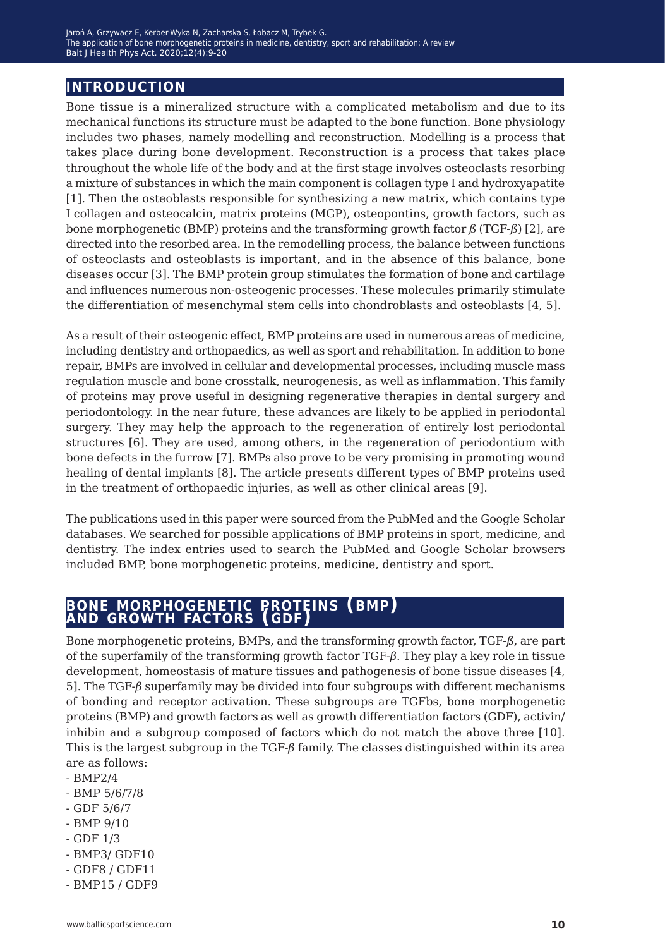## **introduction**

Bone tissue is a mineralized structure with a complicated metabolism and due to its mechanical functions its structure must be adapted to the bone function. Bone physiology includes two phases, namely modelling and reconstruction. Modelling is a process that takes place during bone development. Reconstruction is a process that takes place throughout the whole life of the body and at the first stage involves osteoclasts resorbing a mixture of substances in which the main component is collagen type I and hydroxyapatite [1]. Then the osteoblasts responsible for synthesizing a new matrix, which contains type I collagen and osteocalcin, matrix proteins (MGP), osteopontins, growth factors, such as bone morphogenetic (BMP) proteins and the transforming growth factor *ß* (TGF-*ß*) [2], are directed into the resorbed area. In the remodelling process, the balance between functions of osteoclasts and osteoblasts is important, and in the absence of this balance, bone diseases occur [3]. The BMP protein group stimulates the formation of bone and cartilage and influences numerous non-osteogenic processes. These molecules primarily stimulate the differentiation of mesenchymal stem cells into chondroblasts and osteoblasts [4, 5].

As a result of their osteogenic effect, BMP proteins are used in numerous areas of medicine, including dentistry and orthopaedics, as well as sport and rehabilitation. In addition to bone repair, BMPs are involved in cellular and developmental processes, including muscle mass regulation muscle and bone crosstalk, neurogenesis, as well as inflammation. This family of proteins may prove useful in designing regenerative therapies in dental surgery and periodontology. In the near future, these advances are likely to be applied in periodontal surgery. They may help the approach to the regeneration of entirely lost periodontal structures [6]. They are used, among others, in the regeneration of periodontium with bone defects in the furrow [7]. BMPs also prove to be very promising in promoting wound healing of dental implants [8]. The article presents different types of BMP proteins used in the treatment of orthopaedic injuries, as well as other clinical areas [9].

The publications used in this paper were sourced from the PubMed and the Google Scholar databases. We searched for possible applications of BMP proteins in sport, medicine, and dentistry. The index entries used to search the PubMed and Google Scholar browsers included BMP, bone morphogenetic proteins, medicine, dentistry and sport.

### **bone morphogenetic proteins (bmp) and growth factors (gdf)**

Bone morphogenetic proteins, BMPs, and the transforming growth factor, TGF-*ß*, are part of the superfamily of the transforming growth factor TGF-*β*. They play a key role in tissue development, homeostasis of mature tissues and pathogenesis of bone tissue diseases [4, 5]. The TGF-*β* superfamily may be divided into four subgroups with different mechanisms of bonding and receptor activation. These subgroups are TGFbs, bone morphogenetic proteins (BMP) and growth factors as well as growth differentiation factors (GDF), activin/ inhibin and a subgroup composed of factors which do not match the above three [10]. This is the largest subgroup in the TGF-*β* family. The classes distinguished within its area are as follows:

- BMP2/4
- BMP 5/6/7/8
- GDF 5/6/7
- BMP 9/10
- GDF 1/3
- BMP3/ GDF10
- GDF8 / GDF11
- BMP15 / GDF9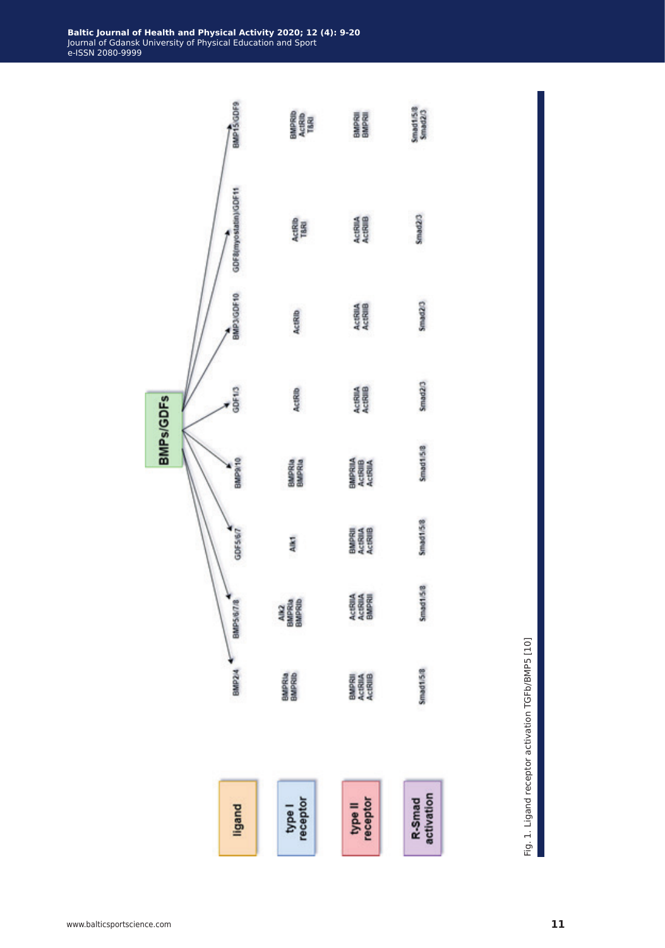

Fig. 1. Ligand receptor activation TGFb/BMP5 [10] Fig. 1. Ligand receptor activation TGFb/BMP5 [10]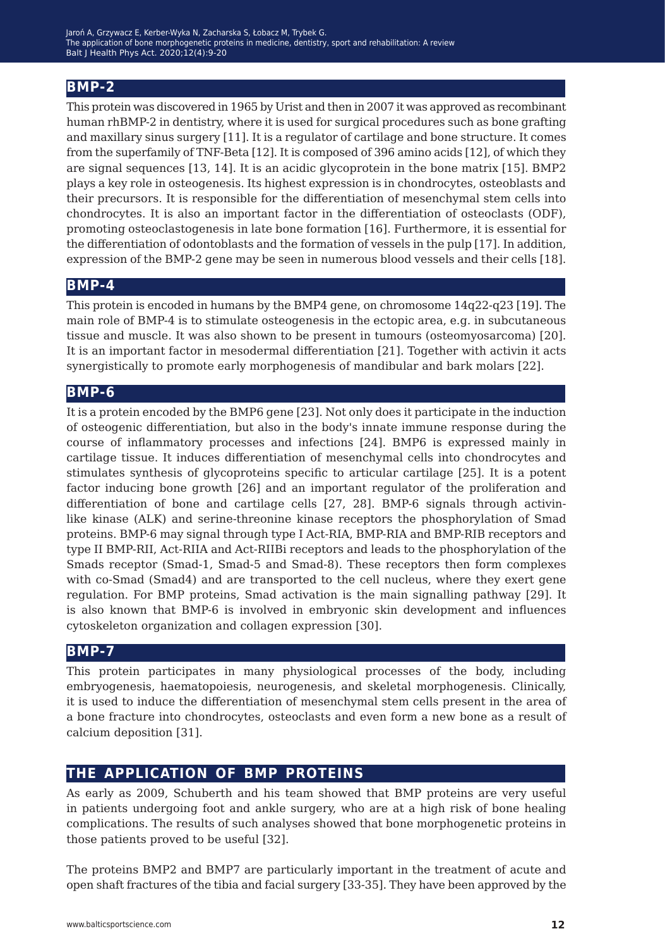## **BMP-2**

This protein was discovered in 1965 by Urist and then in 2007 it was approved as recombinant human rhBMP-2 in dentistry, where it is used for surgical procedures such as bone grafting and maxillary sinus surgery [11]. It is a regulator of cartilage and bone structure. It comes from the superfamily of TNF-Beta [12]. It is composed of 396 amino acids [12], of which they are signal sequences [13, 14]. It is an acidic glycoprotein in the bone matrix [15]. BMP2 plays a key role in osteogenesis. Its highest expression is in chondrocytes, osteoblasts and their precursors. It is responsible for the differentiation of mesenchymal stem cells into chondrocytes. It is also an important factor in the differentiation of osteoclasts (ODF), promoting osteoclastogenesis in late bone formation [16]. Furthermore, it is essential for the differentiation of odontoblasts and the formation of vessels in the pulp [17]. In addition, expression of the BMP-2 gene may be seen in numerous blood vessels and their cells [18].

#### **BMP-4**

This protein is encoded in humans by the BMP4 gene, on chromosome 14q22-q23 [19]. The main role of BMP-4 is to stimulate osteogenesis in the ectopic area, e.g. in subcutaneous tissue and muscle. It was also shown to be present in tumours (osteomyosarcoma) [20]. It is an important factor in mesodermal differentiation [21]. Together with activin it acts synergistically to promote early morphogenesis of mandibular and bark molars [22].

#### **BMP-6**

It is a protein encoded by the BMP6 gene [23]. Not only does it participate in the induction of osteogenic differentiation, but also in the body's innate immune response during the course of inflammatory processes and infections [24]. BMP6 is expressed mainly in cartilage tissue. It induces differentiation of mesenchymal cells into chondrocytes and stimulates synthesis of glycoproteins specific to articular cartilage [25]. It is a potent factor inducing bone growth [26] and an important regulator of the proliferation and differentiation of bone and cartilage cells [27, 28]. BMP-6 signals through activinlike kinase (ALK) and serine-threonine kinase receptors the phosphorylation of Smad proteins. BMP-6 may signal through type I Act-RIA, BMP-RIA and BMP-RIB receptors and type II BMP-RII, Act-RIIA and Act-RIIBi receptors and leads to the phosphorylation of the Smads receptor (Smad-1, Smad-5 and Smad-8). These receptors then form complexes with co-Smad (Smad4) and are transported to the cell nucleus, where they exert gene regulation. For BMP proteins, Smad activation is the main signalling pathway [29]. It is also known that BMP-6 is involved in embryonic skin development and influences cytoskeleton organization and collagen expression [30].

#### **BMP-7**

This protein participates in many physiological processes of the body, including embryogenesis, haematopoiesis, neurogenesis, and skeletal morphogenesis. Clinically, it is used to induce the differentiation of mesenchymal stem cells present in the area of a bone fracture into chondrocytes, osteoclasts and even form a new bone as a result of calcium deposition [31].

## **the application of bmp proteins**

As early as 2009, Schuberth and his team showed that BMP proteins are very useful in patients undergoing foot and ankle surgery, who are at a high risk of bone healing complications. The results of such analyses showed that bone morphogenetic proteins in those patients proved to be useful [32].

The proteins BMP2 and BMP7 are particularly important in the treatment of acute and open shaft fractures of the tibia and facial surgery [33-35]. They have been approved by the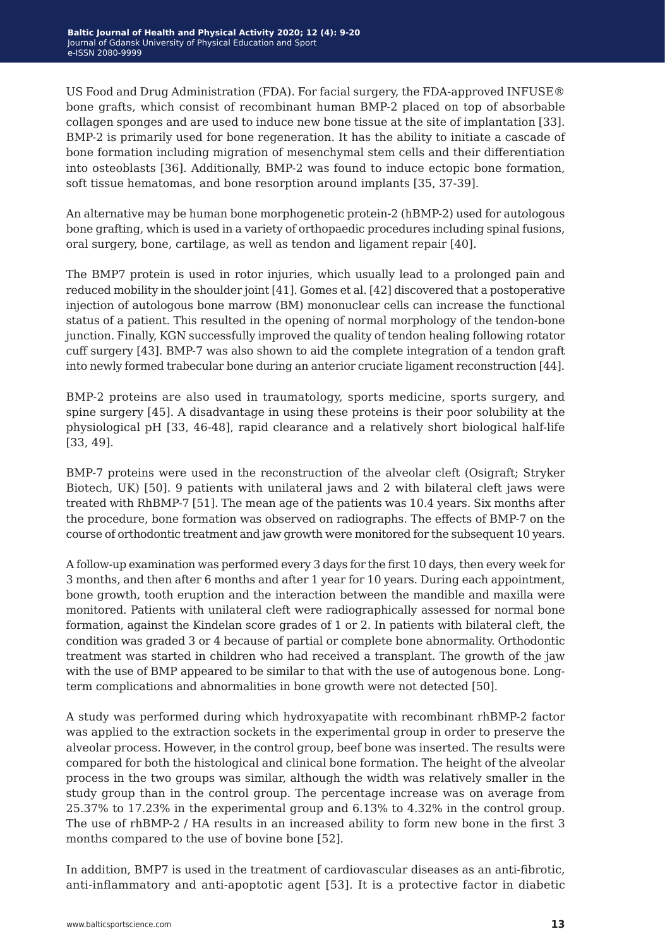US Food and Drug Administration (FDA). For facial surgery, the FDA-approved INFUSE® bone grafts, which consist of recombinant human BMP-2 placed on top of absorbable collagen sponges and are used to induce new bone tissue at the site of implantation [33]. BMP-2 is primarily used for bone regeneration. It has the ability to initiate a cascade of bone formation including migration of mesenchymal stem cells and their differentiation into osteoblasts [36]. Additionally, BMP-2 was found to induce ectopic bone formation, soft tissue hematomas, and bone resorption around implants [35, 37-39].

An alternative may be human bone morphogenetic protein-2 (hBMP-2) used for autologous bone grafting, which is used in a variety of orthopaedic procedures including spinal fusions, oral surgery, bone, cartilage, as well as tendon and ligament repair [40].

The BMP7 protein is used in rotor injuries, which usually lead to a prolonged pain and reduced mobility in the shoulder joint [41]. Gomes et al. [42] discovered that a postoperative injection of autologous bone marrow (BM) mononuclear cells can increase the functional status of a patient. This resulted in the opening of normal morphology of the tendon-bone junction. Finally, KGN successfully improved the quality of tendon healing following rotator cuff surgery [43]. BMP-7 was also shown to aid the complete integration of a tendon graft into newly formed trabecular bone during an anterior cruciate ligament reconstruction [44].

BMP-2 proteins are also used in traumatology, sports medicine, sports surgery, and spine surgery [45]. A disadvantage in using these proteins is their poor solubility at the physiological pH [33, 46-48], rapid clearance and a relatively short biological half-life [33, 49].

BMP-7 proteins were used in the reconstruction of the alveolar cleft (Osigraft; Stryker Biotech, UK) [50]. 9 patients with unilateral jaws and 2 with bilateral cleft jaws were treated with RhBMP-7 [51]. The mean age of the patients was 10.4 years. Six months after the procedure, bone formation was observed on radiographs. The effects of BMP-7 on the course of orthodontic treatment and jaw growth were monitored for the subsequent 10 years.

A follow-up examination was performed every 3 days for the first 10 days, then every week for 3 months, and then after 6 months and after 1 year for 10 years. During each appointment, bone growth, tooth eruption and the interaction between the mandible and maxilla were monitored. Patients with unilateral cleft were radiographically assessed for normal bone formation, against the Kindelan score grades of 1 or 2. In patients with bilateral cleft, the condition was graded 3 or 4 because of partial or complete bone abnormality. Orthodontic treatment was started in children who had received a transplant. The growth of the jaw with the use of BMP appeared to be similar to that with the use of autogenous bone. Longterm complications and abnormalities in bone growth were not detected [50].

A study was performed during which hydroxyapatite with recombinant rhBMP-2 factor was applied to the extraction sockets in the experimental group in order to preserve the alveolar process. However, in the control group, beef bone was inserted. The results were compared for both the histological and clinical bone formation. The height of the alveolar process in the two groups was similar, although the width was relatively smaller in the study group than in the control group. The percentage increase was on average from 25.37% to 17.23% in the experimental group and 6.13% to 4.32% in the control group. The use of rhBMP-2 / HA results in an increased ability to form new bone in the first 3 months compared to the use of bovine bone [52].

In addition, BMP7 is used in the treatment of cardiovascular diseases as an anti-fibrotic, anti-inflammatory and anti-apoptotic agent [53]. It is a protective factor in diabetic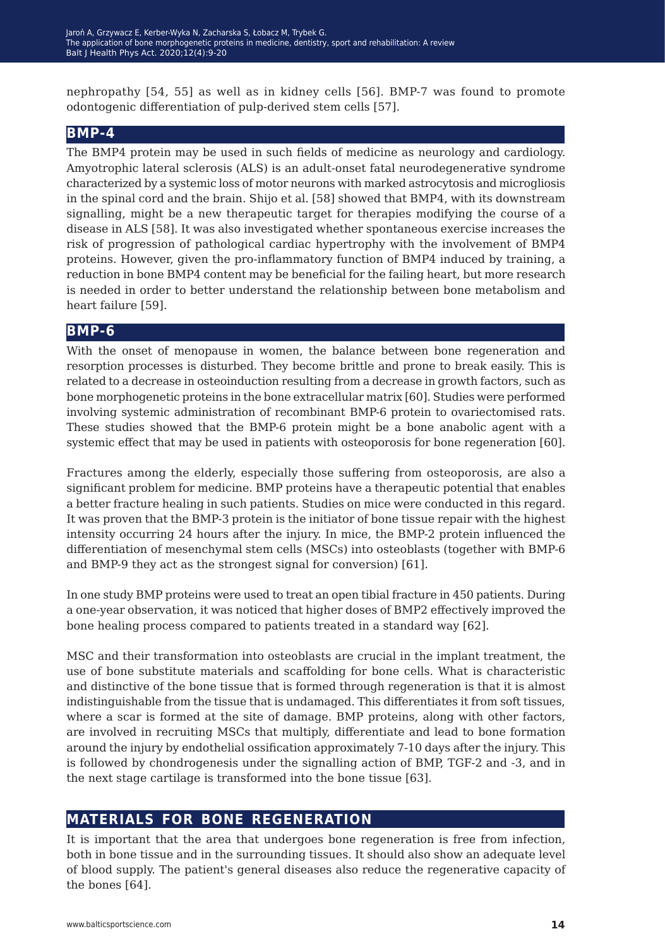nephropathy [54, 55] as well as in kidney cells [56]. BMP-7 was found to promote odontogenic differentiation of pulp-derived stem cells [57].

### **BMP-4**

The BMP4 protein may be used in such fields of medicine as neurology and cardiology. Amyotrophic lateral sclerosis (ALS) is an adult-onset fatal neurodegenerative syndrome characterized by a systemic loss of motor neurons with marked astrocytosis and microgliosis in the spinal cord and the brain. Shijo et al. [58] showed that BMP4, with its downstream signalling, might be a new therapeutic target for therapies modifying the course of a disease in ALS [58]. It was also investigated whether spontaneous exercise increases the risk of progression of pathological cardiac hypertrophy with the involvement of BMP4 proteins. However, given the pro-inflammatory function of BMP4 induced by training, a reduction in bone BMP4 content may be beneficial for the failing heart, but more research is needed in order to better understand the relationship between bone metabolism and heart failure [59].

#### **BMP-6**

With the onset of menopause in women, the balance between bone regeneration and resorption processes is disturbed. They become brittle and prone to break easily. This is related to a decrease in osteoinduction resulting from a decrease in growth factors, such as bone morphogenetic proteins in the bone extracellular matrix [60]. Studies were performed involving systemic administration of recombinant BMP-6 protein to ovariectomised rats. These studies showed that the BMP-6 protein might be a bone anabolic agent with a systemic effect that may be used in patients with osteoporosis for bone regeneration [60].

Fractures among the elderly, especially those suffering from osteoporosis, are also a significant problem for medicine. BMP proteins have a therapeutic potential that enables a better fracture healing in such patients. Studies on mice were conducted in this regard. It was proven that the BMP-3 protein is the initiator of bone tissue repair with the highest intensity occurring 24 hours after the injury. In mice, the BMP-2 protein influenced the differentiation of mesenchymal stem cells (MSCs) into osteoblasts (together with BMP-6 and BMP-9 they act as the strongest signal for conversion) [61].

In one study BMP proteins were used to treat an open tibial fracture in 450 patients. During a one-year observation, it was noticed that higher doses of BMP2 effectively improved the bone healing process compared to patients treated in a standard way [62].

MSC and their transformation into osteoblasts are crucial in the implant treatment, the use of bone substitute materials and scaffolding for bone cells. What is characteristic and distinctive of the bone tissue that is formed through regeneration is that it is almost indistinguishable from the tissue that is undamaged. This differentiates it from soft tissues, where a scar is formed at the site of damage. BMP proteins, along with other factors, are involved in recruiting MSCs that multiply, differentiate and lead to bone formation around the injury by endothelial ossification approximately 7-10 days after the injury. This is followed by chondrogenesis under the signalling action of BMP, TGF-2 and -3, and in the next stage cartilage is transformed into the bone tissue [63].

## **materials for bone regeneration**

It is important that the area that undergoes bone regeneration is free from infection, both in bone tissue and in the surrounding tissues. It should also show an adequate level of blood supply. The patient's general diseases also reduce the regenerative capacity of the bones [64].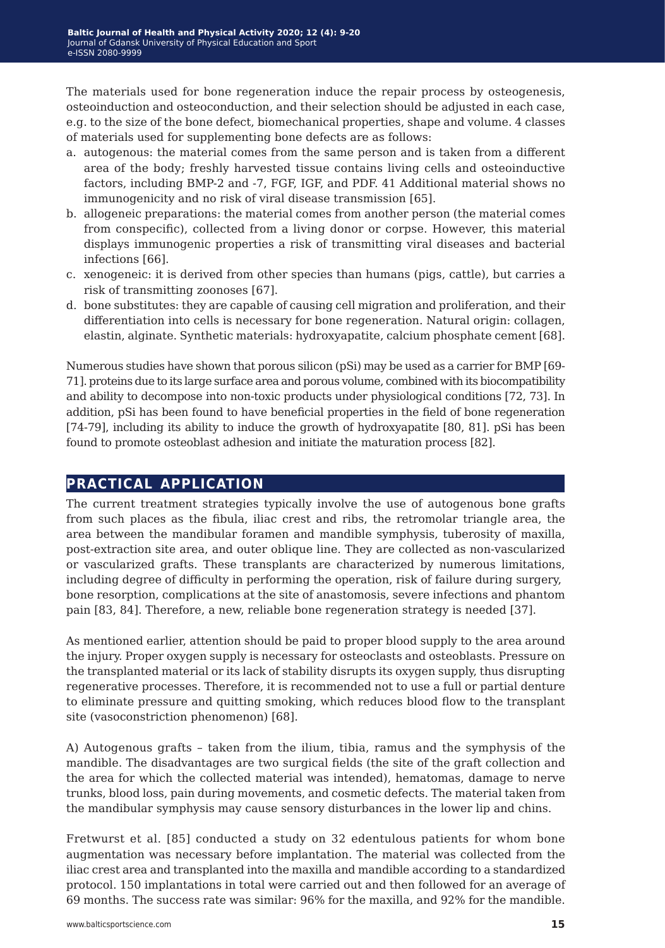The materials used for bone regeneration induce the repair process by osteogenesis, osteoinduction and osteoconduction, and their selection should be adjusted in each case, e.g. to the size of the bone defect, biomechanical properties, shape and volume. 4 classes of materials used for supplementing bone defects are as follows:

- a. autogenous: the material comes from the same person and is taken from a different area of the body; freshly harvested tissue contains living cells and osteoinductive factors, including BMP-2 and -7, FGF, IGF, and PDF. 41 Additional material shows no immunogenicity and no risk of viral disease transmission [65].
- b. allogeneic preparations: the material comes from another person (the material comes from conspecific), collected from a living donor or corpse. However, this material displays immunogenic properties a risk of transmitting viral diseases and bacterial infections [66].
- c. xenogeneic: it is derived from other species than humans (pigs, cattle), but carries a risk of transmitting zoonoses [67].
- d. bone substitutes: they are capable of causing cell migration and proliferation, and their differentiation into cells is necessary for bone regeneration. Natural origin: collagen, elastin, alginate. Synthetic materials: hydroxyapatite, calcium phosphate cement [68].

Numerous studies have shown that porous silicon (pSi) may be used as a carrier for BMP [69- 71]. proteins due to its large surface area and porous volume, combined with its biocompatibility and ability to decompose into non-toxic products under physiological conditions [72, 73]. In addition, pSi has been found to have beneficial properties in the field of bone regeneration [74-79], including its ability to induce the growth of hydroxyapatite [80, 81]. pSi has been found to promote osteoblast adhesion and initiate the maturation process [82].

#### **practical application**

The current treatment strategies typically involve the use of autogenous bone grafts from such places as the fibula, iliac crest and ribs, the retromolar triangle area, the area between the mandibular foramen and mandible symphysis, tuberosity of maxilla, post-extraction site area, and outer oblique line. They are collected as non-vascularized or vascularized grafts. These transplants are characterized by numerous limitations, including degree of difficulty in performing the operation, risk of failure during surgery, bone resorption, complications at the site of anastomosis, severe infections and phantom pain [83, 84]. Therefore, a new, reliable bone regeneration strategy is needed [37].

As mentioned earlier, attention should be paid to proper blood supply to the area around the injury. Proper oxygen supply is necessary for osteoclasts and osteoblasts. Pressure on the transplanted material or its lack of stability disrupts its oxygen supply, thus disrupting regenerative processes. Therefore, it is recommended not to use a full or partial denture to eliminate pressure and quitting smoking, which reduces blood flow to the transplant site (vasoconstriction phenomenon) [68].

A) Autogenous grafts – taken from the ilium, tibia, ramus and the symphysis of the mandible. The disadvantages are two surgical fields (the site of the graft collection and the area for which the collected material was intended), hematomas, damage to nerve trunks, blood loss, pain during movements, and cosmetic defects. The material taken from the mandibular symphysis may cause sensory disturbances in the lower lip and chins.

Fretwurst et al. [85] conducted a study on 32 edentulous patients for whom bone augmentation was necessary before implantation. The material was collected from the iliac crest area and transplanted into the maxilla and mandible according to a standardized protocol. 150 implantations in total were carried out and then followed for an average of 69 months. The success rate was similar: 96% for the maxilla, and 92% for the mandible.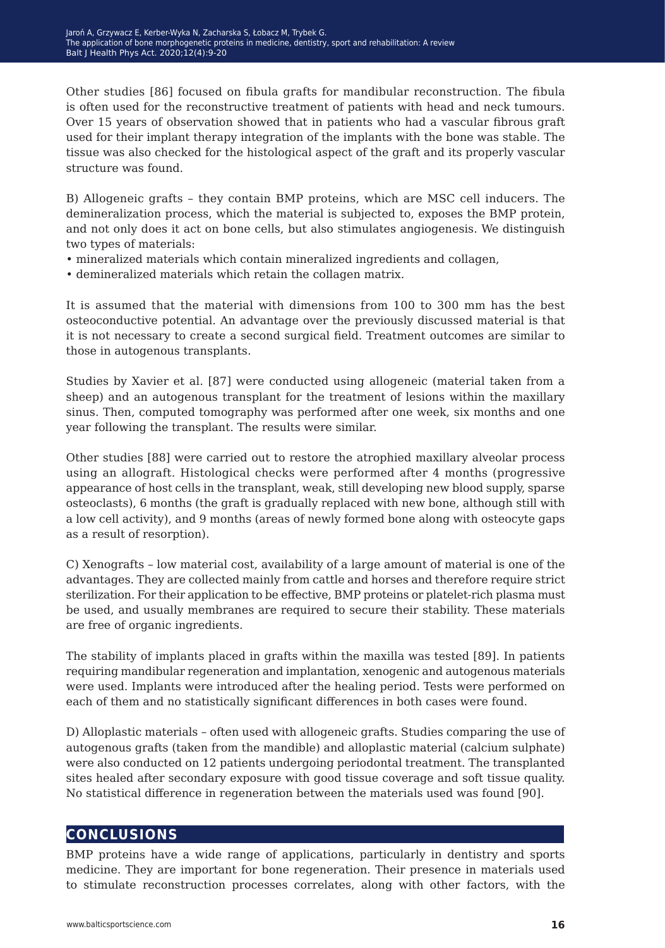Other studies [86] focused on fibula grafts for mandibular reconstruction. The fibula is often used for the reconstructive treatment of patients with head and neck tumours. Over 15 years of observation showed that in patients who had a vascular fibrous graft used for their implant therapy integration of the implants with the bone was stable. The tissue was also checked for the histological aspect of the graft and its properly vascular structure was found.

B) Allogeneic grafts – they contain BMP proteins, which are MSC cell inducers. The demineralization process, which the material is subjected to, exposes the BMP protein, and not only does it act on bone cells, but also stimulates angiogenesis. We distinguish two types of materials:

- mineralized materials which contain mineralized ingredients and collagen,
- demineralized materials which retain the collagen matrix.

It is assumed that the material with dimensions from 100 to 300 mm has the best osteoconductive potential. An advantage over the previously discussed material is that it is not necessary to create a second surgical field. Treatment outcomes are similar to those in autogenous transplants.

Studies by Xavier et al. [87] were conducted using allogeneic (material taken from a sheep) and an autogenous transplant for the treatment of lesions within the maxillary sinus. Then, computed tomography was performed after one week, six months and one year following the transplant. The results were similar.

Other studies [88] were carried out to restore the atrophied maxillary alveolar process using an allograft. Histological checks were performed after 4 months (progressive appearance of host cells in the transplant, weak, still developing new blood supply, sparse osteoclasts), 6 months (the graft is gradually replaced with new bone, although still with a low cell activity), and 9 months (areas of newly formed bone along with osteocyte gaps as a result of resorption).

C) Xenografts – low material cost, availability of a large amount of material is one of the advantages. They are collected mainly from cattle and horses and therefore require strict sterilization. For their application to be effective, BMP proteins or platelet-rich plasma must be used, and usually membranes are required to secure their stability. These materials are free of organic ingredients.

The stability of implants placed in grafts within the maxilla was tested [89]. In patients requiring mandibular regeneration and implantation, xenogenic and autogenous materials were used. Implants were introduced after the healing period. Tests were performed on each of them and no statistically significant differences in both cases were found.

D) Alloplastic materials – often used with allogeneic grafts. Studies comparing the use of autogenous grafts (taken from the mandible) and alloplastic material (calcium sulphate) were also conducted on 12 patients undergoing periodontal treatment. The transplanted sites healed after secondary exposure with good tissue coverage and soft tissue quality. No statistical difference in regeneration between the materials used was found [90].

#### **conclusions**

BMP proteins have a wide range of applications, particularly in dentistry and sports medicine. They are important for bone regeneration. Their presence in materials used to stimulate reconstruction processes correlates, along with other factors, with the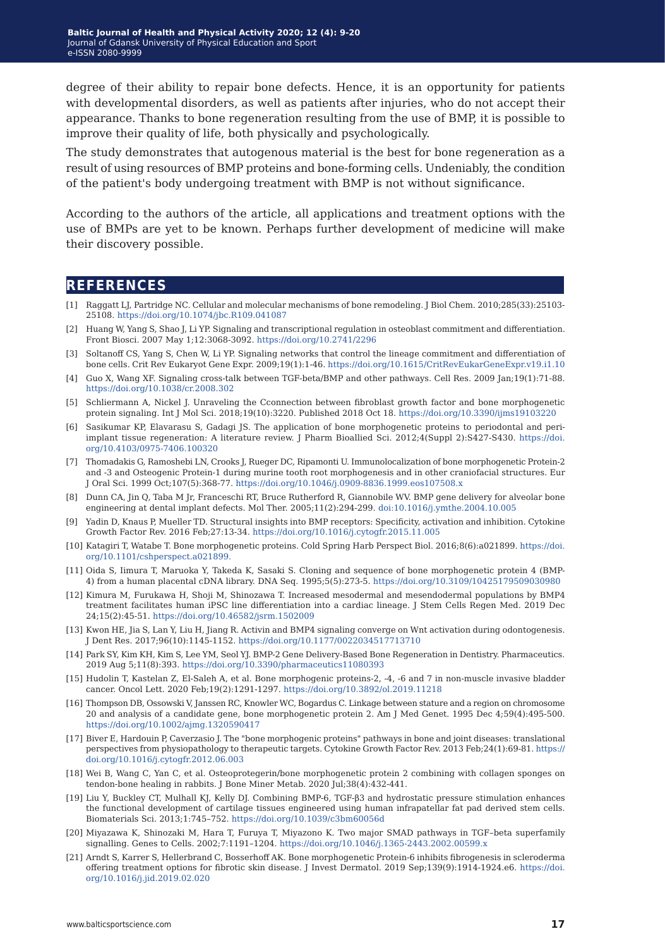degree of their ability to repair bone defects. Hence, it is an opportunity for patients with developmental disorders, as well as patients after injuries, who do not accept their appearance. Thanks to bone regeneration resulting from the use of BMP, it is possible to improve their quality of life, both physically and psychologically.

The study demonstrates that autogenous material is the best for bone regeneration as a result of using resources of BMP proteins and bone-forming cells. Undeniably, the condition of the patient's body undergoing treatment with BMP is not without significance.

According to the authors of the article, all applications and treatment options with the use of BMPs are yet to be known. Perhaps further development of medicine will make their discovery possible.

#### **references**

- [1] Raggatt LJ, Partridge NC. Cellular and molecular mechanisms of bone remodeling. J Biol Chem. 2010;285(33):25103- 25108.<https://doi.org/10.1074/jbc.R109.041087>
- [2] Huang W, Yang S, Shao J, Li YP. Signaling and transcriptional regulation in osteoblast commitment and differentiation. Front Biosci. 2007 May 1;12:3068-3092.<https://doi.org/10.2741/2296>
- [3] Soltanoff CS, Yang S, Chen W, Li YP. Signaling networks that control the lineage commitment and differentiation of bone cells. Crit Rev Eukaryot Gene Expr. 2009;19(1):1-46. [https://doi.org/10.1615/CritRevEukarGeneExpr.v19.i1.10](https://doi.org/10.1615/CritRevEukarGeneExpr.v19.i1.10 )
- [4] Guo X, Wang XF. Signaling cross-talk between TGF-beta/BMP and other pathways. Cell Res. 2009 Jan;19(1):71-88. <https://doi.org/10.1038/cr.2008.302>
- [5] Schliermann A, Nickel J. Unraveling the Cconnection between fibroblast growth factor and bone morphogenetic protein signaling. Int J Mol Sci. 2018;19(10):3220. Published 2018 Oct 18.<https://doi.org/10.3390/ijms19103220>
- [6] Sasikumar KP, Elavarasu S, Gadagi JS. The application of bone morphogenetic proteins to periodontal and periimplant tissue regeneration: A literature review. J Pharm Bioallied Sci. 2012;4(Suppl 2):S427-S430. [https://doi.](https://doi.org/10.4103/0975-7406.100320) [org/10.4103/0975-7406.100320](https://doi.org/10.4103/0975-7406.100320)
- [7] Thomadakis G, Ramoshebi LN, Crooks J, Rueger DC, Ripamonti U. Immunolocalization of bone morphogenetic Protein-2 and -3 and Osteogenic Protein-1 during murine tooth root morphogenesis and in other craniofacial structures. Eur J Oral Sci. 1999 Oct;107(5):368-77.<https://doi.org/10.1046/j.0909-8836.1999.eos107508.x>
- [8] Dunn CA, Jin Q, Taba M Jr, Franceschi RT, Bruce Rutherford R, Giannobile WV. BMP gene delivery for alveolar bone engineering at dental implant defects. Mol Ther. 2005;11(2):294-299. [doi:10.1016/j.ymthe.2004.10.005](https://doi.org/10.1016/j.ymthe.2004.10.005)
- [9] Yadin D, Knaus P, Mueller TD. Structural insights into BMP receptors: Specificity, activation and inhibition. Cytokine Growth Factor Rev. 2016 Feb;27:13-34.<https://doi.org/10.1016/j.cytogfr.2015.11.005>
- [10] Katagiri T, Watabe T. Bone morphogenetic proteins. Cold Spring Harb Perspect Biol. 2016;8(6):a021899. [https://doi.](https://doi.org/10.1101/cshperspect.a021899.) [org/10.1101/cshperspect.a021899.](https://doi.org/10.1101/cshperspect.a021899.)
- [11] Oida S, Iimura T, Maruoka Y, Takeda K, Sasaki S. Cloning and sequence of bone morphogenetic protein 4 (BMP-4) from a human placental cDNA library. DNA Seq. 1995;5(5):273-5. [https://doi.org/10.3109/10425179509030980](https://doi.org/10.3109/10425179509030980 )
- [12] Kimura M, Furukawa H, Shoji M, Shinozawa T. Increased mesodermal and mesendodermal populations by BMP4 treatment facilitates human iPSC line differentiation into a cardiac lineage. J Stem Cells Regen Med. 2019 Dec 24;15(2):45-51.<https://doi.org/10.46582/jsrm.1502009>
- [13] Kwon HE, Jia S, Lan Y, Liu H, Jiang R. Activin and BMP4 signaling converge on Wnt activation during odontogenesis. J Dent Res. 2017;96(10):1145-1152.<https://doi.org/10.1177/0022034517713710>
- [14] Park SY, Kim KH, Kim S, Lee YM, Seol YJ. BMP-2 Gene Delivery-Based Bone Regeneration in Dentistry. Pharmaceutics. 2019 Aug 5;11(8):393.<https://doi.org/10.3390/pharmaceutics11080393>
- [15] Hudolin T, Kastelan Z, El-Saleh A, et al. Bone morphogenic proteins-2, -4, -6 and 7 in non-muscle invasive bladder cancer. Oncol Lett. 2020 Feb;19(2):1291-1297. [https://doi.org/10.3892/ol.2019.11218](https://doi.org/10.3892/ol.2019.11218 )
- [16] Thompson DB, Ossowski V, Janssen RC, Knowler WC, Bogardus C. Linkage between stature and a region on chromosome 20 and analysis of a candidate gene, bone morphogenetic protein 2. Am J Med Genet. 1995 Dec 4;59(4):495-500. <https://doi.org/10.1002/ajmg.1320590417>
- [17] Biver E, Hardouin P, Caverzasio J. The "bone morphogenic proteins" pathways in bone and joint diseases: translational perspectives from physiopathology to therapeutic targets. Cytokine Growth Factor Rev. 2013 Feb;24(1):69-81. [https://](https://doi.org/10.1016/j.cytogfr.2012.06.003) [doi.org/10.1016/j.cytogfr.2012.06.003](https://doi.org/10.1016/j.cytogfr.2012.06.003)
- [18] Wei B, Wang C, Yan C, et al. Osteoprotegerin/bone morphogenetic protein 2 combining with collagen sponges on tendon-bone healing in rabbits. J Bone Miner Metab. 2020 Jul;38(4):432-441.
- [19] Liu Y, Buckley CT, Mulhall KJ, Kelly DJ. Combining BMP-6, TGF-β3 and hydrostatic pressure stimulation enhances the functional development of cartilage tissues engineered using human infrapatellar fat pad derived stem cells. Biomaterials Sci. 2013;1:745–752. <https://doi.org/10.1039/c3bm60056d>
- [20] Miyazawa K, Shinozaki M, Hara T, Furuya T, Miyazono K. Two major SMAD pathways in TGF–beta superfamily signalling. Genes to Cells. 2002;7:1191–1204. <https://doi.org/10.1046/j.1365-2443.2002.00599.x>
- [21] Arndt S, Karrer S, Hellerbrand C, Bosserhoff AK. Bone morphogenetic Protein-6 inhibits fibrogenesis in scleroderma offering treatment options for fibrotic skin disease. J Invest Dermatol. 2019 Sep;139(9):1914-1924.e6. [https://doi.](https://doi.org/10.1016/j.jid.2019.02.020 ) [org/10.1016/j.jid.2019.02.020](https://doi.org/10.1016/j.jid.2019.02.020 )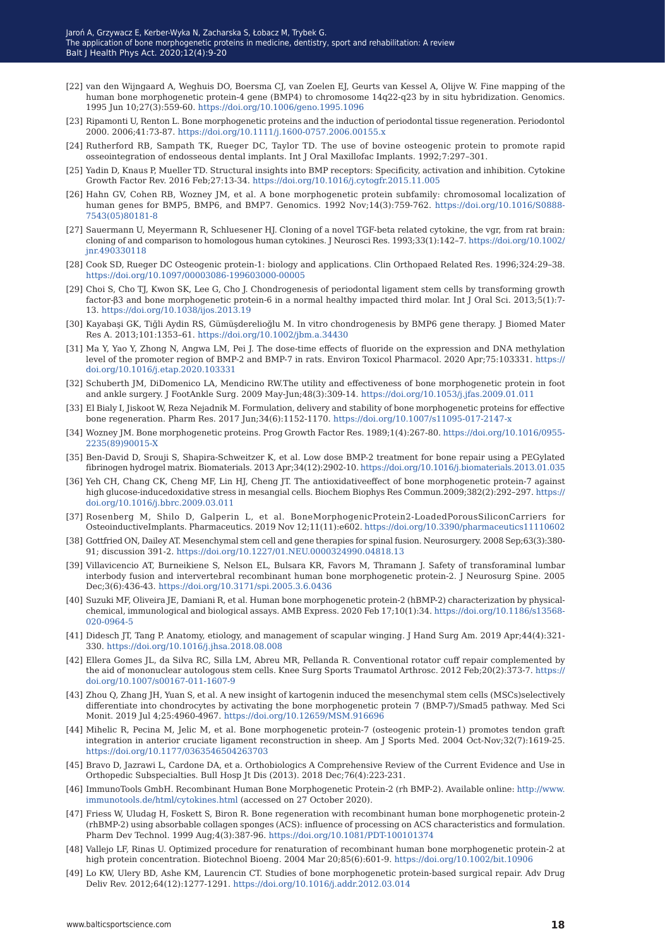- [22] van den Wijngaard A, Weghuis DO, Boersma CJ, van Zoelen EJ, Geurts van Kessel A, Olijve W. Fine mapping of the human bone morphogenetic protein-4 gene (BMP4) to chromosome 14q22-q23 by in situ hybridization. Genomics. 1995 Jun 10;27(3):559-60. <https://doi.org/10.1006/geno.1995.1096>
- [23] Ripamonti U, Renton L. Bone morphogenetic proteins and the induction of periodontal tissue regeneration. Periodontol 2000. 2006;41:73-87. <https://doi.org/10.1111/j.1600-0757.2006.00155.x>
- [24] Rutherford RB, Sampath TK, Rueger DC, Taylor TD. The use of bovine osteogenic protein to promote rapid osseointegration of endosseous dental implants. Int J Oral Maxillofac Implants. 1992;7:297–301.
- [25] Yadin D, Knaus P, Mueller TD. Structural insights into BMP receptors: Specificity, activation and inhibition. Cytokine Growth Factor Rev. 2016 Feb;27:13-34. https://doi.org/10.1016/j.cytogfr.2015.11.005
- [26] Hahn GV, Cohen RB, Wozney JM, et al. A bone morphogenetic protein subfamily: chromosomal localization of human genes for BMP5, BMP6, and BMP7. Genomics. 1992 Nov;14(3):759-762. [https://doi.org/10.1016/S0888-](https://doi.org/10.1016/S0888-7543(05)80181-8) [7543\(05\)80181-8](https://doi.org/10.1016/S0888-7543(05)80181-8)
- [27] Sauermann U, Meyermann R, Schluesener HJ. Cloning of a novel TGF-beta related cytokine, the vgr, from rat brain: cloning of and comparison to homologous human cytokines. J Neurosci Res. 1993;33(1):142–7. [https://doi.org/10.1002/](https://doi.org/10.1002/jnr.490330118) [jnr.490330118](https://doi.org/10.1002/jnr.490330118)
- [28] Cook SD, Rueger DC Osteogenic protein-1: biology and applications. Clin Orthopaed Related Res. 1996;324:29–38. <https://doi.org/10.1097/00003086-199603000-00005>
- [29] Choi S, Cho TJ, Kwon SK, Lee G, Cho J. Chondrogenesis of periodontal ligament stem cells by transforming growth factor-β3 and bone morphogenetic protein-6 in a normal healthy impacted third molar. Int J Oral Sci. 2013;5(1):7- 13. <https://doi.org/10.1038/ijos.2013.19>
- [30] Kayabaşi GK, Tiğli Aydin RS, Gümüşderelioğlu M. In vitro chondrogenesis by BMP6 gene therapy. J Biomed Mater Res A. 2013;101:1353–61. <https://doi.org/10.1002/jbm.a.34430>
- [31] Ma Y, Yao Y, Zhong N, Angwa LM, Pei J. The dose-time effects of fluoride on the expression and DNA methylation level of the promoter region of BMP-2 and BMP-7 in rats. Environ Toxicol Pharmacol. 2020 Apr;75:103331. [https://](https://doi.org/10.1016/j.etap.2020.103331) [doi.org/10.1016/j.etap.2020.103331](https://doi.org/10.1016/j.etap.2020.103331)
- [32] Schuberth JM, DiDomenico LA, Mendicino RW.The utility and effectiveness of bone morphogenetic protein in foot and ankle surgery. J FootAnkle Surg. 2009 May-Jun;48(3):309-14.<https://doi.org/10.1053/j.jfas.2009.01.011>
- [33] El Bialy I, Jiskoot W, Reza Nejadnik M. Formulation, delivery and stability of bone morphogenetic proteins for effective bone regeneration. Pharm Res. 2017 Jun;34(6):1152-1170.<https://doi.org/10.1007/s11095-017-2147-x>
- [34] Wozney JM. Bone morphogenetic proteins. Prog Growth Factor Res. 1989;1(4):267-80. [https://doi.org/10.1016/0955-](https://doi.org/10.1016/0955-2235(89)90015-X ) [2235\(89\)90015-X](https://doi.org/10.1016/0955-2235(89)90015-X )
- [35] Ben-David D, Srouji S, Shapira-Schweitzer K, et al. Low dose BMP-2 treatment for bone repair using a PEGylated fibrinogen hydrogel matrix. Biomaterials. 2013 Apr;34(12):2902-10. [https://doi.org/10.1016/j.biomaterials.2013.01.035](https://doi.org/10.1016/j.biomaterials.2013.01.035 )
- [36] Yeh CH, Chang CK, Cheng MF, Lin HJ, Cheng JT. The antioxidativeeffect of bone morphogenetic protein-7 against high glucose-inducedoxidative stress in mesangial cells. Biochem Biophys Res Commun.2009;382(2):292–297. [https://](https://doi.org/10.1016/j.bbrc.2009.03.011 ) [doi.org/10.1016/j.bbrc.2009.03.011](https://doi.org/10.1016/j.bbrc.2009.03.011 )
- [37] Rosenberg M, Shilo D, Galperin L, et al. BoneMorphogenicProtein2-LoadedPorousSiliconCarriers for OsteoinductiveImplants. Pharmaceutics. 2019 Nov 12;11(11):e602.<https://doi.org/10.3390/pharmaceutics11110602>
- [38] Gottfried ON, Dailey AT. Mesenchymal stem cell and gene therapies for spinal fusion. Neurosurgery. 2008 Sep;63(3):380- 91; discussion 391-2. <https://doi.org/10.1227/01.NEU.0000324990.04818.13>
- [39] Villavicencio AT, Burneikiene S, Nelson EL, Bulsara KR, Favors M, Thramann J. Safety of transforaminal lumbar interbody fusion and intervertebral recombinant human bone morphogenetic protein-2. J Neurosurg Spine. 2005 Dec;3(6):436-43.<https://doi.org/10.3171/spi.2005.3.6.0436>
- [40] Suzuki MF, Oliveira JE, Damiani R, et al. Human bone morphogenetic protein-2 (hBMP-2) characterization by physicalchemical, immunological and biological assays. AMB Express. 2020 Feb 17;10(1):34. [https://doi.org/10.1186/s13568-](https://doi.org/10.1186/s13568-020-0964-5 ) [020-0964-5](https://doi.org/10.1186/s13568-020-0964-5 )
- [41] Didesch JT, Tang P. Anatomy, etiology, and management of scapular winging. J Hand Surg Am. 2019 Apr;44(4):321- 330. <https://doi.org/10.1016/j.jhsa.2018.08.008>
- [42] Ellera Gomes JL, da Silva RC, Silla LM, Abreu MR, Pellanda R. Conventional rotator cuff repair complemented by the aid of mononuclear autologous stem cells. Knee Surg Sports Traumatol Arthrosc. 2012 Feb;20(2):373-7. [https://](https://doi.org/10.1007/s00167-011-1607-9 ) [doi.org/10.1007/s00167-011-1607-9](https://doi.org/10.1007/s00167-011-1607-9 )
- [43] Zhou Q, Zhang JH, Yuan S, et al. A new insight of kartogenin induced the mesenchymal stem cells (MSCs)selectively differentiate into chondrocytes by activating the bone morphogenetic protein 7 (BMP-7)/Smad5 pathway. Med Sci Monit. 2019 Jul 4;25:4960-4967.<https://doi.org/10.12659/MSM.916696>
- [44] Mihelic R, Pecina M, Jelic M, et al. Bone morphogenetic protein-7 (osteogenic protein-1) promotes tendon graft integration in anterior cruciate ligament reconstruction in sheep. Am J Sports Med. 2004 Oct-Nov;32(7):1619-25. <https://doi.org/10.1177/0363546504263703>
- [45] Bravo D, Jazrawi L, Cardone DA, et a. Orthobiologics A Comprehensive Review of the Current Evidence and Use in Orthopedic Subspecialties. Bull Hosp Jt Dis (2013). 2018 Dec;76(4):223-231.
- [46] ImmunoTools GmbH. Recombinant Human Bone Morphogenetic Protein-2 (rh BMP-2). Available online: [http://www.](http://www.immunotools.de/html/cytokines.html) [immunotools.de/html/cytokines.html](http://www.immunotools.de/html/cytokines.html) (accessed on 27 October 2020).
- [47] Friess W, Uludag H, Foskett S, Biron R. Bone regeneration with recombinant human bone morphogenetic protein-2 (rhBMP-2) using absorbable collagen sponges (ACS): influence of processing on ACS characteristics and formulation. Pharm Dev Technol. 1999 Aug;4(3):387-96.<https://doi.org/10.1081/PDT-100101374>
- [48] Vallejo LF, Rinas U. Optimized procedure for renaturation of recombinant human bone morphogenetic protein-2 at high protein concentration. Biotechnol Bioeng. 2004 Mar 20;85(6):601-9.<https://doi.org/10.1002/bit.10906>
- [49] Lo KW, Ulery BD, Ashe KM, Laurencin CT. Studies of bone morphogenetic protein-based surgical repair. Adv Drug Deliv Rev. 2012;64(12):1277-1291. <https://doi.org/10.1016/j.addr.2012.03.014>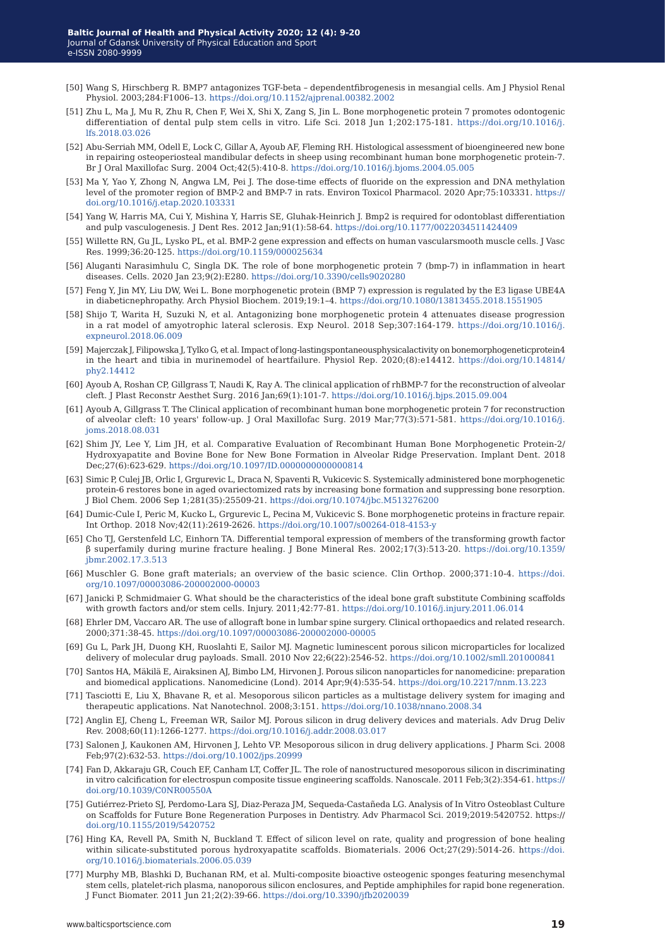- [50] Wang S, Hirschberg R. BMP7 antagonizes TGF-beta dependentfibrogenesis in mesangial cells. Am J Physiol Renal Physiol. 2003;284:F1006–13. <https://doi.org/10.1152/ajprenal.00382.2002>
- [51] Zhu L, Ma J, Mu R, Zhu R, Chen F, Wei X, Shi X, Zang S, Jin L. Bone morphogenetic protein 7 promotes odontogenic differentiation of dental pulp stem cells in vitro. Life Sci. 2018 Jun 1;202:175-181. [https://doi.org/10.1016/j.](https://doi.org/10.1016/j.lfs.2018.03.026 ) [lfs.2018.03.026](https://doi.org/10.1016/j.lfs.2018.03.026 )
- [52] Abu-Serriah MM, Odell E, Lock C, Gillar A, Ayoub AF, Fleming RH. Histological assessment of bioengineered new bone in repairing osteoperiosteal mandibular defects in sheep using recombinant human bone morphogenetic protein-7. Br J Oral Maxillofac Surg. 2004 Oct;42(5):410-8.<https://doi.org/10.1016/j.bjoms.2004.05.005>
- [53] Ma Y, Yao Y, Zhong N, Angwa LM, Pei J. The dose-time effects of fluoride on the expression and DNA methylation level of the promoter region of BMP-2 and BMP-7 in rats. Environ Toxicol Pharmacol. 2020 Apr;75:103331. [https://](https://doi.org/10.1016/j.etap.2020.103331 ) [doi.org/10.1016/j.etap.2020.103331](https://doi.org/10.1016/j.etap.2020.103331 )
- [54] Yang W, Harris MA, Cui Y, Mishina Y, Harris SE, Gluhak-Heinrich J. Bmp2 is required for odontoblast differentiation and pulp vasculogenesis. J Dent Res. 2012 Jan;91(1):58-64. <https://doi.org/10.1177/0022034511424409>
- [55] Willette RN, Gu JL, Lysko PL, et al. BMP-2 gene expression and effects on human vascularsmooth muscle cells. J Vasc Res. 1999;36:20-125.<https://doi.org/10.1159/000025634>
- [56] Aluganti Narasimhulu C, Singla DK. The role of bone morphogenetic protein 7 (bmp-7) in inflammation in heart diseases. Cells. 2020 Jan 23;9(2):E280.<https://doi.org/10.3390/cells9020280>
- [57] Feng Y, Jin MY, Liu DW, Wei L. Bone morphogenetic protein (BMP 7) expression is regulated by the E3 ligase UBE4A in diabeticnephropathy. Arch Physiol Biochem. 2019;19:1–4. <https://doi.org/10.1080/13813455.2018.1551905>
- [58] Shijo T, Warita H, Suzuki N, et al. Antagonizing bone morphogenetic protein 4 attenuates disease progression in a rat model of amyotrophic lateral sclerosis. Exp Neurol. 2018 Sep;307:164-179. [https://doi.org/10.1016/j.](https://doi.org/10.1016/j.expneurol.2018.06.009 ) [expneurol.2018.06.009](https://doi.org/10.1016/j.expneurol.2018.06.009 )
- [59] Majerczak J, Filipowska J, Tylko G, et al. Impact of long-lastingspontaneousphysicalactivity on bonemorphogeneticprotein4 in the heart and tibia in murinemodel of heartfailure. Physiol Rep. 2020;(8):e14412. [https://doi.org/10.14814/](https://doi.org/10.14814/phy2.14412 ) [phy2.14412](https://doi.org/10.14814/phy2.14412 )
- [60] Ayoub A, Roshan CP, Gillgrass T, Naudi K, Ray A. The clinical application of rhBMP-7 for the reconstruction of alveolar cleft. J Plast Reconstr Aesthet Surg. 2016 Jan;69(1):101-7. <https://doi.org/10.1016/j.bjps.2015.09.004>
- [61] Ayoub A, Gillgrass T. The Clinical application of recombinant human bone morphogenetic protein 7 for reconstruction of alveolar cleft: 10 years' follow-up. J Oral Maxillofac Surg. 2019 Mar;77(3):571-581. [https://doi.org/10.1016/j.](https://doi.org/10.1016/j.joms.2018.08.031  ) [joms.2018.08.031](https://doi.org/10.1016/j.joms.2018.08.031  )
- [62] Shim JY, Lee Y, Lim JH, et al. Comparative Evaluation of Recombinant Human Bone Morphogenetic Protein-2/ Hydroxyapatite and Bovine Bone for New Bone Formation in Alveolar Ridge Preservation. Implant Dent. 2018 Dec;27(6):623-629.<https://doi.org/10.1097/ID.0000000000000814>
- [63] Simic P, Culej JB, Orlic I, Grgurevic L, Draca N, Spaventi R, Vukicevic S. Systemically administered bone morphogenetic protein-6 restores bone in aged ovariectomized rats by increasing bone formation and suppressing bone resorption. J Biol Chem. 2006 Sep 1;281(35):25509-21.<https://doi.org/10.1074/jbc.M513276200>
- [64] Dumic-Cule I, Peric M, Kucko L, Grgurevic L, Pecina M, Vukicevic S. Bone morphogenetic proteins in fracture repair. Int Orthop. 2018 Nov;42(11):2619-2626. <https://doi.org/10.1007/s00264-018-4153-y>
- [65] Cho TJ, Gerstenfeld LC, Einhorn TA. Differential temporal expression of members of the transforming growth factor β superfamily during murine fracture healing. J Bone Mineral Res. 2002;17(3):513-20. [https://doi.org/10.1359/](https://doi.org/10.1359/jbmr.2002.17.3.513 ) [jbmr.2002.17.3.513](https://doi.org/10.1359/jbmr.2002.17.3.513 )
- [66] Muschler G. Bone graft materials; an overview of the basic science. Clin Orthop. 2000;371:10-4. [https://doi.](https://doi.org/10.1097/00003086-200002000-00003 ) [org/10.1097/00003086-200002000-00003](https://doi.org/10.1097/00003086-200002000-00003 )
- [67] Janicki P, Schmidmaier G. What should be the characteristics of the ideal bone graft substitute Combining scaffolds with growth factors and/or stem cells. Injury. 2011;42:77-81. <https://doi.org/10.1016/j.injury.2011.06.014>
- [68] Ehrler DM, Vaccaro AR. The use of allograft bone in lumbar spine surgery. Clinical orthopaedics and related research. 2000;371:38-45. <https://doi.org/10.1097/00003086-200002000-00005>
- [69] Gu L, Park JH, Duong KH, Ruoslahti E, Sailor MJ. Magnetic luminescent porous silicon microparticles for localized delivery of molecular drug payloads. Small. 2010 Nov 22;6(22):2546-52. <https://doi.org/10.1002/smll.201000841>
- [70] Santos HA, Mäkilä E, Airaksinen AJ, Bimbo LM, Hirvonen J. Porous silicon nanoparticles for nanomedicine: preparation and biomedical applications. Nanomedicine (Lond). 2014 Apr;9(4):535-54. <https://doi.org/10.2217/nnm.13.223>
- [71] Tasciotti E, Liu X, Bhavane R, et al. Mesoporous silicon particles as a multistage delivery system for imaging and therapeutic applications. Nat Nanotechnol. 2008;3:151.<https://doi.org/10.1038/nnano.2008.34>
- [72] Anglin EJ, Cheng L, Freeman WR, Sailor MJ. Porous silicon in drug delivery devices and materials. Adv Drug Deliv Rev. 2008;60(11):1266-1277. <https://doi.org/10.1016/j.addr.2008.03.017>
- [73] Salonen J, Kaukonen AM, Hirvonen J, Lehto VP. Mesoporous silicon in drug delivery applications. J Pharm Sci. 2008 Feb;97(2):632-53.<https://doi.org/10.1002/jps.20999>
- [74] Fan D, Akkaraju GR, Couch EF, Canham LT, Coffer JL. The role of nanostructured mesoporous silicon in discriminating in vitro calcification for electrospun composite tissue engineering scaffolds. Nanoscale. 2011 Feb;3(2):354-61. [https://](https://doi.org/10.1039/C0NR00550A ) [doi.org/10.1039/C0NR00550A](https://doi.org/10.1039/C0NR00550A )
- [75] Gutiérrez-Prieto SJ, Perdomo-Lara SJ, Diaz-Peraza JM, Sequeda-Castañeda LG. Analysis of In Vitro Osteoblast Culture on Scaffolds for Future Bone Regeneration Purposes in Dentistry. Adv Pharmacol Sci. 2019;2019:5420752. https:// [doi.org/10.1155/2019/5420752](http://doi.org/10.1155/2019/5420752)
- [76] Hing KA, Revell PA, Smith N, Buckland T. Effect of silicon level on rate, quality and progression of bone healing within silicate-substituted porous hydroxyapatite scaffolds. Biomaterials. 2006 Oct;27(29):5014-26. h[ttps://doi.](ttps://doi.org/10.1016/j.biomaterials.2006.05.039 ) [org/10.1016/j.biomaterials.2006.05.039](ttps://doi.org/10.1016/j.biomaterials.2006.05.039 )
- [77] Murphy MB, Blashki D, Buchanan RM, et al. Multi-composite bioactive osteogenic sponges featuring mesenchymal stem cells, platelet-rich plasma, nanoporous silicon enclosures, and Peptide amphiphiles for rapid bone regeneration. J Funct Biomater. 2011 Jun 21;2(2):39-66.<https://doi.org/10.3390/jfb2020039>